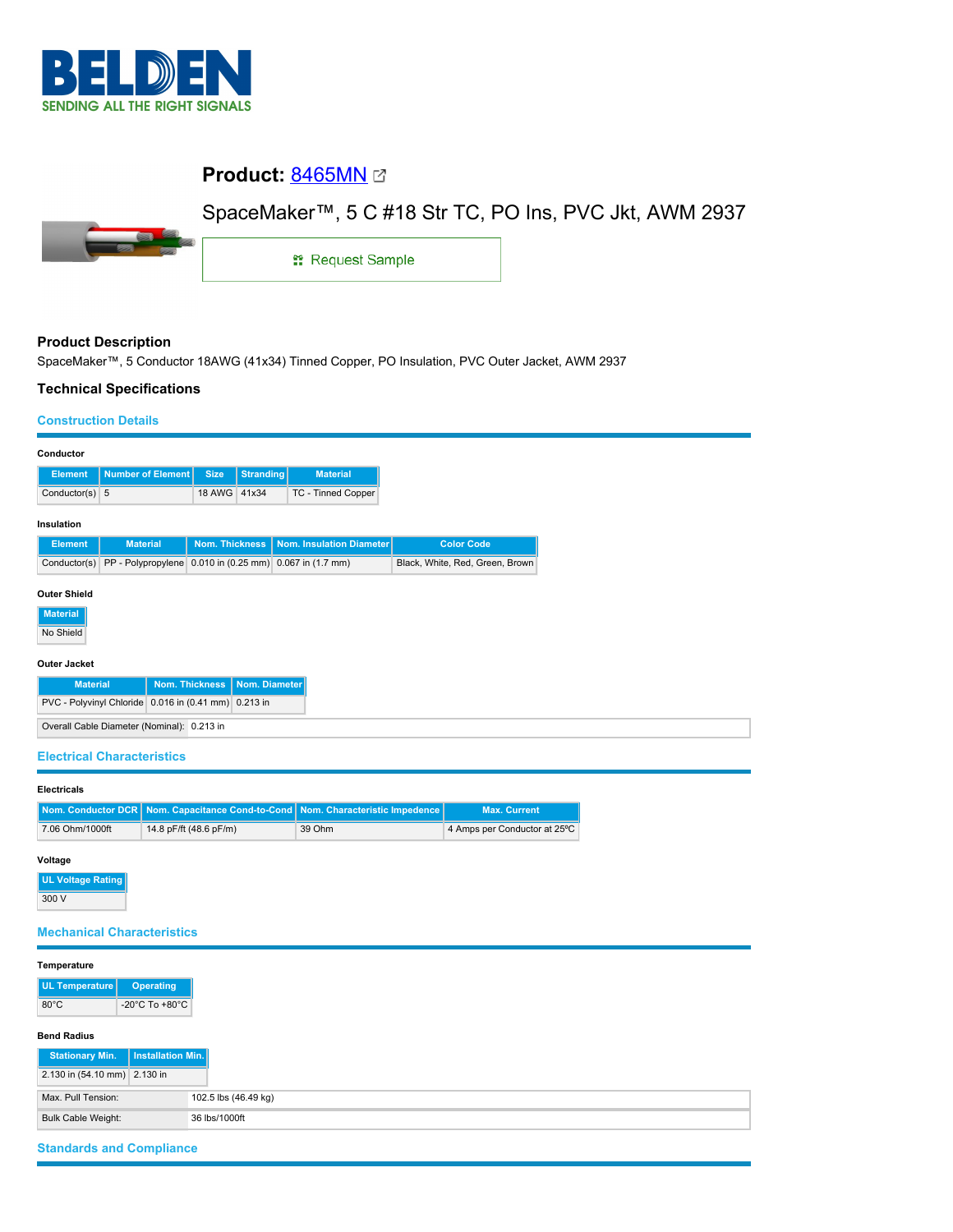

# **Product:** [8465MN](https://catalog.belden.com/index.cfm?event=pd&p=PF_8465MN&tab=downloads)

# SpaceMaker™, 5 C #18 Str TC, PO Ins, PVC Jkt, AWM 2937



1: Request Sample

## **Product Description**

SpaceMaker™, 5 Conductor 18AWG (41x34) Tinned Copper, PO Insulation, PVC Outer Jacket, AWM 2937

### **Technical Specifications**

### **Construction Details**

| Conductor                                                 |                          |                |                  |                                      |                                 |  |  |  |
|-----------------------------------------------------------|--------------------------|----------------|------------------|--------------------------------------|---------------------------------|--|--|--|
| <b>Element</b>                                            | <b>Number of Element</b> | <b>Size</b>    | <b>Stranding</b> | <b>Material</b>                      |                                 |  |  |  |
| Conductor(s) 5                                            |                          | 18 AWG 41x34   |                  | TC - Tinned Copper                   |                                 |  |  |  |
| Insulation                                                |                          |                |                  |                                      |                                 |  |  |  |
| <b>Element</b>                                            | <b>Material</b>          | Nom. Thickness |                  | Nom. Insulation Diameter             | <b>Color Code</b>               |  |  |  |
| Conductor(s)                                              | PP - Polypropylene       |                |                  | 0.010 in (0.25 mm) 0.067 in (1.7 mm) | Black, White, Red, Green, Brown |  |  |  |
| <b>Outer Shield</b><br><b>Material</b><br>No Shield       |                          |                |                  |                                      |                                 |  |  |  |
| <b>Outer Jacket</b>                                       |                          |                |                  |                                      |                                 |  |  |  |
| <b>Nom. Thickness</b><br>Nom. Diameter<br><b>Material</b> |                          |                |                  |                                      |                                 |  |  |  |
| PVC - Polyvinyl Chloride 0.016 in (0.41 mm) 0.213 in      |                          |                |                  |                                      |                                 |  |  |  |
| Overall Cable Diameter (Nominal): 0.213 in                |                          |                |                  |                                      |                                 |  |  |  |

#### **Electrical Characteristics**

#### **Electricals**

|                 | Nom. Conductor DCR   Nom. Capacitance Cond-to-Cond   Nom. Characteristic Impedence |        | <b>Max. Current</b>          |
|-----------------|------------------------------------------------------------------------------------|--------|------------------------------|
| 7.06 Ohm/1000ft | 14.8 pF/ft (48.6 pF/m)                                                             | 39 Ohm | 4 Amps per Conductor at 25°C |

#### **Voltage**

**UL Voltage Rating** 300 V

### **Mechanical Characteristics**

| Temperature                                |                                            |  |
|--------------------------------------------|--------------------------------------------|--|
| UL Temperature                             | <b>Operating</b>                           |  |
| $80^{\circ}$ C                             | -20 $^{\circ}$ C To +80 $^{\circ}$ C       |  |
| <b>Bend Radius</b>                         |                                            |  |
| <b>Stationary Min.</b>                     | Installation Min.                          |  |
| 2.130 in (54.10 mm) 2.130 in               |                                            |  |
| Max. Pull Tension:<br>102.5 lbs (46.49 kg) |                                            |  |
|                                            | <b>Bulk Cable Weight:</b><br>36 lbs/1000ft |  |

## **Standards and Compliance**